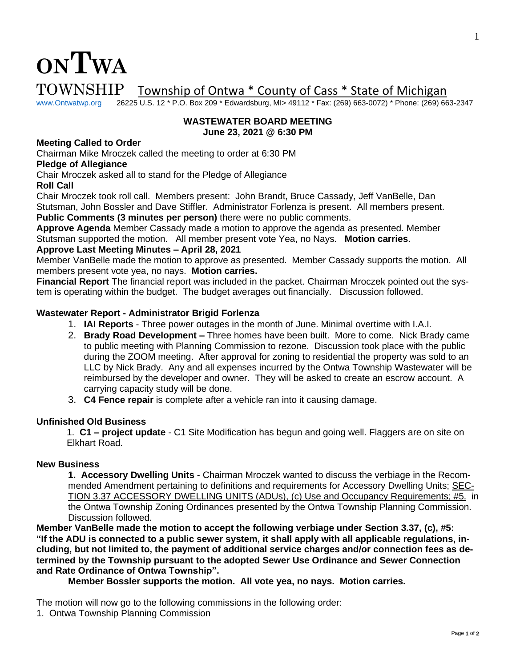

# $\text{TOWNSHIP}$  Township of Ontwa \* County of Cass \* State of Michigan www.Ontwatwp.org 26225 U.S. 12 \* P.O. Box 209 \* Edwardsburg, MI> 49112 \* Fax: (269) 663-0072) \* Phone: (269) 66

26225 U.S. 12 \* P.O. Box 209 \* Edwardsburg, MI> 49112 \* Fax: (269) 663-0072) \* Phone: (269) 663-2347

#### **WASTEWATER BOARD MEETING June 23, 2021 @ 6:30 PM**

# **Meeting Called to Order**

Chairman Mike Mroczek called the meeting to order at 6:30 PM

# **Pledge of Allegiance**

Chair Mroczek asked all to stand for the Pledge of Allegiance

### **Roll Call**

Chair Mroczek took roll call. Members present: John Brandt, Bruce Cassady, Jeff VanBelle, Dan Stutsman, John Bossler and Dave Stiffler. Administrator Forlenza is present. All members present.

**Public Comments (3 minutes per person)** there were no public comments.

**Approve Agenda** Member Cassady made a motion to approve the agenda as presented. Member Stutsman supported the motion. All member present vote Yea, no Nays. **Motion carries**.

# **Approve Last Meeting Minutes – April 28, 2021**

Member VanBelle made the motion to approve as presented. Member Cassady supports the motion. All members present vote yea, no nays. **Motion carries.** 

**Financial Report** The financial report was included in the packet. Chairman Mroczek pointed out the system is operating within the budget. The budget averages out financially. Discussion followed.

### **Wastewater Report - Administrator Brigid Forlenza**

- 1. **IAI Reports** Three power outages in the month of June. Minimal overtime with I.A.I.
- 2. **Brady Road Development –** Three homes have been built. More to come. Nick Brady came to public meeting with Planning Commission to rezone. Discussion took place with the public during the ZOOM meeting. After approval for zoning to residential the property was sold to an LLC by Nick Brady. Any and all expenses incurred by the Ontwa Township Wastewater will be reimbursed by the developer and owner. They will be asked to create an escrow account. A carrying capacity study will be done.
- 3. **C4 Fence repair** is complete after a vehicle ran into it causing damage.

### **Unfinished Old Business**

1. **C1 – project update** - C1 Site Modification has begun and going well. Flaggers are on site on Elkhart Road.

### **New Business**

**1. Accessory Dwelling Units** - Chairman Mroczek wanted to discuss the verbiage in the Recommended Amendment pertaining to definitions and requirements for Accessory Dwelling Units; SEC-TION 3.37 ACCESSORY DWELLING UNITS (ADUs), (c) Use and Occupancy Requirements; #5. in the Ontwa Township Zoning Ordinances presented by the Ontwa Township Planning Commission. Discussion followed.

**Member VanBelle made the motion to accept the following verbiage under Section 3.37, (c), #5:**  "If the ADU is connected to a public sewer system, it shall apply with all applicable regulations, in**cluding, but not limited to, the payment of additional service charges and/or connection fees as determined by the Township pursuant to the adopted Sewer Use Ordinance and Sewer Connection and Rate Ordinance of Ontwa Township".** 

**Member Bossler supports the motion. All vote yea, no nays. Motion carries.**

The motion will now go to the following commissions in the following order:

1. Ontwa Township Planning Commission